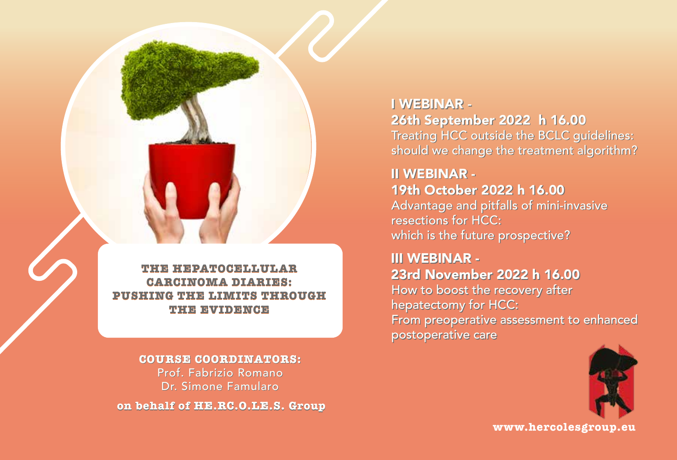## **THE HEPATOCELLULAR CARCINOMA DIARIES: PUSHING THE LIMITS THROUGH THE EVIDENCE**

**COURSE COORDINATORS: COURSE COORDINATORS:**Prof. Fabrizio Romano Prof. Romano Dr. Simone Famularo Simone Famularo **on behalf of HE.RC.O.LE.S. Group** I WEBINAR - I WEBINAR

26th September 2022 h 16.00 26th September 2022 h 16.00 Treating HCC outside the BCLC guidelines: Treating HCC outside the BCLC guidelines: should we change the treatment algorithm? should we change the treatment algorithm?

# II WEBINAR - II WEBINAR - 19th October 2022 h 16.00 19th October 2022 h 16.00

Advantage and pitfalls of mini-invasive Advantage and pitfalls of mini-invasive resections for HCC: resections for HCC: which is the future prospective? which is the future prospective?

III WEBINAR - III WEBINAR - 23rd November 2022 h 16.00 23rd November 2022 h 16.00 How to boost the recovery after How to boost the recovery after hepatectomy for HCC: hepatectomy for HCC: From preoperative assessment to enhanced From preoperative assessment to enhanced postoperative care postoperative care



**[www.hercolesgroup.eu](https://www.hercolesgroup.eu/)**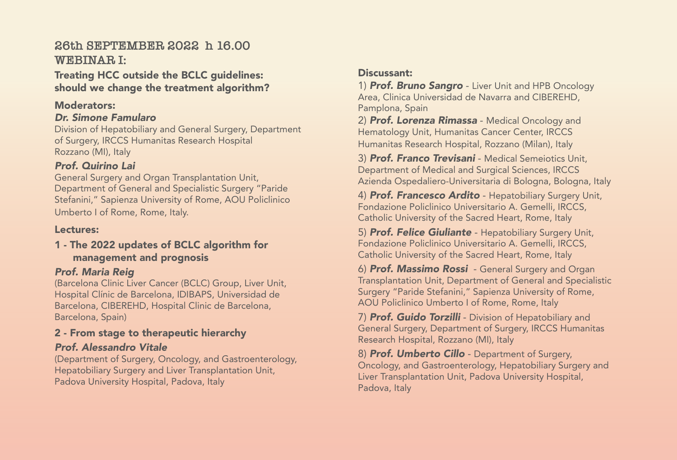## **26th SEPTEMBER 2022 h 16.00 WEBINAR I:**

Treating HCC outside the BCLC guidelines: should we change the treatment algorithm?

#### Moderators:

#### *Dr. Simone Famularo*

Division of Hepatobiliary and General Surgery, Department of Surgery, IRCCS Humanitas Research Hospital Rozzano (MI), Italy

## *Prof. Quirino Lai*

General Surgery and Organ Transplantation Unit, Department of General and Specialistic Surgery "Paride Stefanini," Sapienza University of Rome, AOU Policlinico Umberto I of Rome, Rome, Italy.

#### Lectures:

#### 1 - The 2022 updates of BCLC algorithm for management and prognosis

## *Prof. Maria Reig*

(Barcelona Clinic Liver Cancer (BCLC) Group, Liver Unit, Hospital Clínic de Barcelona, IDIBAPS, Universidad de Barcelona, CIBEREHD, Hospital Clinic de Barcelona, Barcelona, Spain)

## 2 - From stage to therapeutic hierarchy

## *Prof. Alessandro Vitale*

(Department of Surgery, Oncology, and Gastroenterology, Hepatobiliary Surgery and Liver Transplantation Unit, Padova University Hospital, Padova, Italy

## Discussant:

1) *Prof. Bruno Sangro* - Liver Unit and HPB Oncology Area, Clinica Universidad de Navarra and CIBEREHD, Pamplona, Spain

2) *Prof. Lorenza Rimassa* - Medical Oncology and Hematology Unit, Humanitas Cancer Center, IRCCS Humanitas Research Hospital, Rozzano (Milan), Italy

3) *Prof. Franco Trevisani* - Medical Semeiotics Unit, Department of Medical and Surgical Sciences, IRCCS Azienda Ospedaliero-Universitaria di Bologna, Bologna, Italy

4) *Prof. Francesco Ardito* - Hepatobiliary Surgery Unit, Fondazione Policlinico Universitario A. Gemelli, IRCCS, Catholic University of the Sacred Heart, Rome, Italy

5) *Prof. Felice Giuliante* - Hepatobiliary Surgery Unit, Fondazione Policlinico Universitario A. Gemelli, IRCCS, Catholic University of the Sacred Heart, Rome, Italy

6) *Prof. Massimo Rossi* - General Surgery and Organ Transplantation Unit, Department of General and Specialistic Surgery "Paride Stefanini," Sapienza University of Rome, AOU Policlinico Umberto I of Rome, Rome, Italy

7) *Prof. Guido Torzilli* - Division of Hepatobiliary and General Surgery, Department of Surgery, IRCCS Humanitas Research Hospital, Rozzano (MI), Italy

8) *Prof. Umberto Cillo* - Department of Surgery, Oncology, and Gastroenterology, Hepatobiliary Surgery and Liver Transplantation Unit, Padova University Hospital, Padova, Italy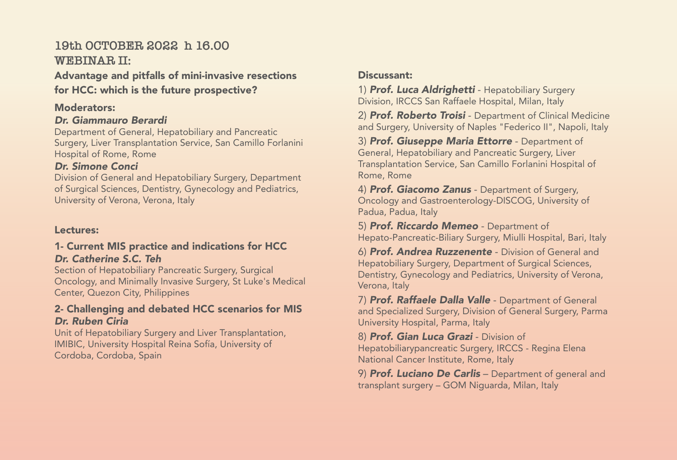## **19th OCTOBER 2022 h 16.00 WEBINAR II:**

## Advantage and pitfalls of mini-invasive resections for HCC: which is the future prospective?

#### Moderators:

#### *Dr. Giammauro Berardi*

Department of General, Hepatobiliary and Pancreatic Surgery, Liver Transplantation Service, San Camillo Forlanini Hospital of Rome, Rome

## *Dr. Simone Conci*

Division of General and Hepatobiliary Surgery, Department of Surgical Sciences, Dentistry, Gynecology and Pediatrics, University of Verona, Verona, Italy

## Lectures:

#### 1- Current MIS practice and indications for HCC *Dr. Catherine S.C. Teh*

Section of Hepatobiliary Pancreatic Surgery, Surgical Oncology, and Minimally Invasive Surgery, St Luke's Medical Center, Quezon City, Philippines

## 2- Challenging and debated HCC scenarios for MIS *Dr. Ruben Ciria*

Unit of Hepatobiliary Surgery and Liver Transplantation, IMIBIC, University Hospital Reina Sofía, University of Cordoba, Cordoba, Spain

## Discussant:

1) *Prof. Luca Aldrighetti* - Hepatobiliary Surgery Division, IRCCS San Raffaele Hospital, Milan, Italy

2) *Prof. Roberto Troisi* - Department of Clinical Medicine and Surgery, University of Naples "Federico II", Napoli, Italy

3) *Prof. Giuseppe Maria Ettorre* - Department of General, Hepatobiliary and Pancreatic Surgery, Liver Transplantation Service, San Camillo Forlanini Hospital of Rome, Rome

4) *Prof. Giacomo Zanus* - Department of Surgery, Oncology and Gastroenterology-DISCOG, University of Padua, Padua, Italy

5) *Prof. Riccardo Memeo* - Department of Hepato-Pancreatic-Biliary Surgery, Miulli Hospital, Bari, Italy

6) *Prof. Andrea Ruzzenente* - Division of General and Hepatobiliary Surgery, Department of Surgical Sciences, Dentistry, Gynecology and Pediatrics, University of Verona, Verona, Italy

7) *Prof. Raffaele Dalla Valle* - Department of General and Specialized Surgery, Division of General Surgery, Parma University Hospital, Parma, Italy

8) *Prof. Gian Luca Grazi* - Division of Hepatobiliarypancreatic Surgery, IRCCS - Regina Elena National Cancer Institute, Rome, Italy

9) *Prof. Luciano De Carlis* – Department of general and transplant surgery – GOM Niguarda, Milan, Italy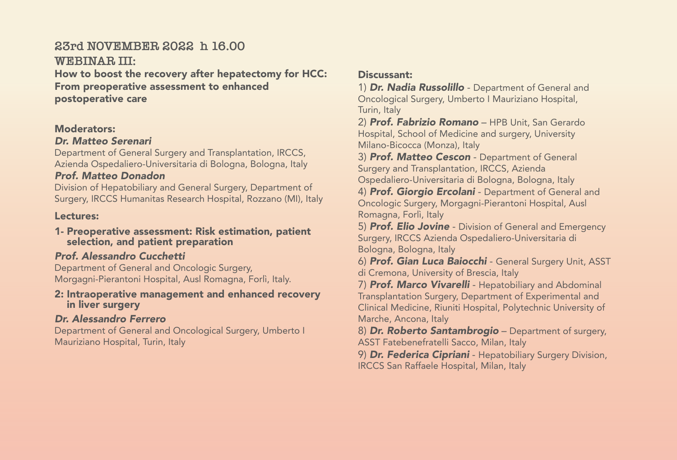## **23rd NOVEMBER 2022 h 16.00**

**WEBINAR III:** 

How to boost the recovery after hepatectomy for HCC: From preoperative assessment to enhanced postoperative care

#### Moderators:

#### *Dr. Matteo Serenari*

Department of General Surgery and Transplantation, IRCCS, Azienda Ospedaliero-Universitaria di Bologna, Bologna, Italy

#### *Prof. Matteo Donadon*

Division of Hepatobiliary and General Surgery, Department of Surgery, IRCCS Humanitas Research Hospital, Rozzano (MI), Italy

#### Lectures:

#### 1- Preoperative assessment: Risk estimation, patient selection, and patient preparation

## *Prof. Alessandro Cucchetti*

Department of General and Oncologic Surgery, Morgagni-Pierantoni Hospital, Ausl Romagna, Forlì, Italy.

#### 2: Intraoperative management and enhanced recovery in liver surgery

## *Dr. Alessandro Ferrero*

Department of General and Oncological Surgery, Umberto I Mauriziano Hospital, Turin, Italy

#### Discussant:

1) *Dr. Nadia Russolillo* - Department of General and Oncological Surgery, Umberto I Mauriziano Hospital, Turin, Italy

2) *Prof. Fabrizio Romano* – HPB Unit, San Gerardo Hospital, School of Medicine and surgery, University Milano-Bicocca (Monza), Italy

3) *Prof. Matteo Cescon* - Department of General Surgery and Transplantation, IRCCS, Azienda Ospedaliero-Universitaria di Bologna, Bologna, Italy

4) *Prof. Giorgio Ercolani* - Department of General and Oncologic Surgery, Morgagni-Pierantoni Hospital, Ausl Romagna, Forlì, Italy

5) *Prof. Elio Jovine* - Division of General and Emergency Surgery, IRCCS Azienda Ospedaliero-Universitaria di Bologna, Bologna, Italy

6) *Prof. Gian Luca Baiocchi* - General Surgery Unit, ASST di Cremona, University of Brescia, Italy

7) *Prof. Marco Vivarelli* - Hepatobiliary and Abdominal Transplantation Surgery, Department of Experimental and Clinical Medicine, Riuniti Hospital, Polytechnic University of Marche, Ancona, Italy

8) *Dr. Roberto Santambrogio* – Department of surgery, ASST Fatebenefratelli Sacco, Milan, Italy

9) *Dr. Federica Cipriani* - Hepatobiliary Surgery Division, IRCCS San Raffaele Hospital, Milan, Italy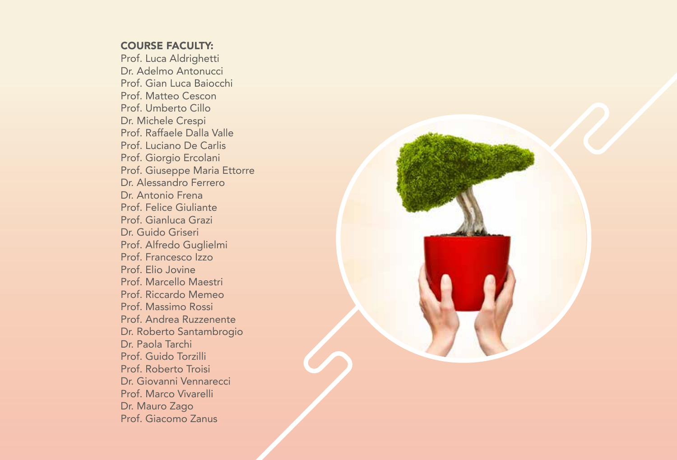#### COURSE FACULTY:

Prof. Luca Aldrighetti Dr. Adelmo Antonucci Prof. Gian Luca Baiocchi Prof. Matteo Cescon Prof. Umberto Cillo Dr. Michele Crespi Prof. Raffaele Dalla Valle Prof. Luciano De Carlis Prof. Giorgio Ercolani Prof. Giuseppe Maria Ettorre Dr. Alessandro Ferrero Dr. Antonio Frena Prof. Felice Giuliante Prof. Gianluca Grazi Dr. Guido Griseri Prof. Alfredo Guglielmi Prof. Francesco Izzo Prof. Elio Jovine Prof. Marcello Maestri Prof. Riccardo Memeo Prof. Massimo Rossi Prof. Andrea Ruzzenente Dr. Roberto Santambrogio Dr. Paola Tarchi Prof. Guido Torzilli Prof. Roberto Troisi Dr. Giovanni Vennarecci Prof. Marco Vivarelli Dr. Mauro Zago Prof. Giacomo Zanus